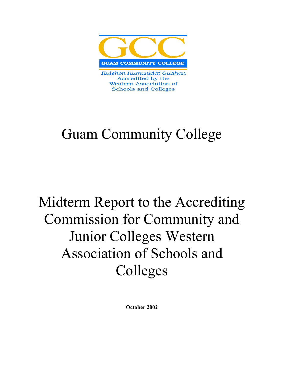

Kulehon Kumunidát Guáhan Accredited by the **Western Association of Schools and Colleges** 

## Guam Community College

# Midterm Report to the Accrediting Commission for Community and Junior Colleges Western Association of Schools and Colleges

October 2002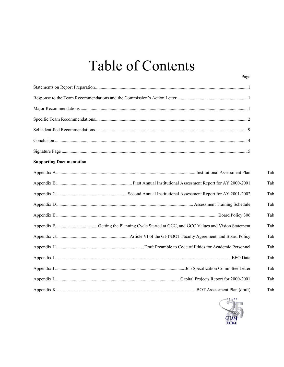## **Table of Contents**

| <b>Supporting Documentation</b> |     |
|---------------------------------|-----|
|                                 | Tab |
|                                 | Tab |
|                                 | Tab |
|                                 | Tab |
|                                 | Tab |
|                                 | Tab |
|                                 | Tab |
|                                 | Tab |
|                                 | Tab |
|                                 | Tab |
|                                 | Tab |
|                                 | Tab |



Page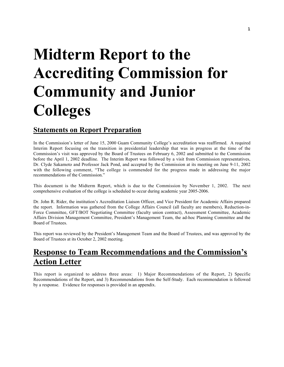# Midterm Report to the Accrediting Commission for Community and Junior **Colleges**

## Statements on Report Preparation

In the Commission's letter of June 15, 2000 Guam Community College's accreditation was reaffirmed. A required Interim Report focusing on the transition in presidential leadership that was in progress at the time of the Commission's visit was approved by the Board of Trustees on February 6, 2002 and submitted to the Commission before the April 1, 2002 deadline. The Interim Report was followed by a visit from Commission representatives, Dr. Clyde Sakamoto and Professor Jack Pond, and accepted by the Commission at its meeting on June 9-11, 2002 with the following comment, "The college is commended for the progress made in addressing the major recommendations of the Commission."

This document is the Midterm Report, which is due to the Commission by November 1, 2002. The next comprehensive evaluation of the college is scheduled to occur during academic year 2005-2006.

Dr. John R. Rider, the institution's Accreditation Liaison Officer, and Vice President for Academic Affairs prepared the report. Information was gathered from the College Affairs Council (all faculty are members), Reduction-in-Force Committee, GFT/BOT Negotiating Committee (faculty union contract), Assessment Committee, Academic Affairs Division Management Committee, President's Management Team, the ad-hoc Planning Committee and the Board of Trustees.

This report was reviewed by the President's Management Team and the Board of Trustees, and was approved by the Board of Trustees at its October 2, 2002 meeting.

## Response to Team Recommendations and the Commission's Action Letter

This report is organized to address three areas: 1) Major Recommendations of the Report, 2) Specific Recommendations of the Report, and 3) Recommendations from the Self-Study. Each recommendation is followed by a response. Evidence for responses is provided in an appendix.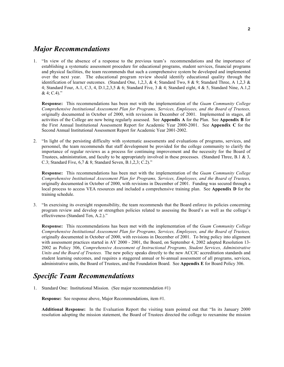### *Major Recommendations*

1. "In view of the absence of a response to the previous team's recommendations and the importance of establishing a systematic assessment procedure for educational programs, student services, financial programs and physical facilities, the team recommends that such a comprehensive system be developed and implemented over the next year. The educational program review should identify educational quality through the identification of learner outcomes. (Standard One, 1,2,3, & 4; Standard Two, 8 & 9; Standard Three, A 1,2,3 & 4; Standard Four, A.1, C.3, 4, D.1,2,3,5 & 6; Standard Five, 3 & 4; Standard eight, 4 & 5, Standard Nine, A.1,2  $& 4; C.4$ )."

Response: This recommendations has been met with the implementation of the *Guam Community College Comprehensive Institutional Assessment Plan for Programs, Services, Employees, and the Board of Trustees,* originally documented in October of 2000, with revisions in December of 2001. Implemented in stages, all activities of the College are now being regularly assessed. See Appendix A for the Plan. See Appendix B for the First Annual Institutional Assessment Report for Academic Year 2000-2001. See Appendix C for the Second Annual Institutional Assessment Report for Academic Year 2001-2002.

2. "In light of the persisting difficulty with systematic assessments and evaluations of programs, services, and personnel, the team recommends that staff development be provided for the college community to clarify the importance of regular reviews as a process for continuing improvement and the necessity for the Board of Trustees, administration, and faculty to be appropriately involved in these processes. (Standard Three, B.1  $\&$  3, C.3; Standard Five, 6,7 & 8; Standard Seven, B.1,2,3; C.2)."

Response: This recommendations has been met with the implementation of the *Guam Community College Comprehensive Institutional Assessment Plan for Programs, Services, Employees, and the Board of Trustees,* originally documented in October of 2000, with revisions in December of 2001. Funding was secured through a local process to access VEA resources and included a comprehensive training plan. See Appendix D for the training schedule.

3. "In exercising its oversight responsibility, the team recommends that the Board enforce its policies concerning program review and develop or strengthen policies related to assessing the Board's as well as the college's effectiveness (Standard Ten, A.2.)."

Response: This recommendations has been met with the implementation of the *Guam Community College Comprehensive Institutional Assessment Plan for Programs, Services, Employees, and the Board of Trustees,* originally documented in October of 2000, with revisions in December of 2001. To bring policy into alignment with assessment practices started in AY 2000 - 2001, the Board, on September 4, 2002 adopted Resolution 13-2002 as Policy 306, *Comprehensive Assessment of Instructional Programs, Student Services, Administrative Units and the Board of Trustees.* The new policy speaks directly to the new ACCJC accreditation standards and student learning outcomes, and requires a staggered annual or bi-annual assessment of all programs, services, administrative units, the Board of Trustees, and the Foundation Board. See Appendix E for Board Policy 306.

## *Specific Team Recommendations*

1. Standard One: Institutional Mission. (See major recommendation #1)

Response: See response above, Major Recommendations, item #1.

Additional Response: In the Evaluation Report the visiting team pointed out that "In its January 2000 resolution adopting the mission statement, the Board of Trustees directed the college to reexamine the mission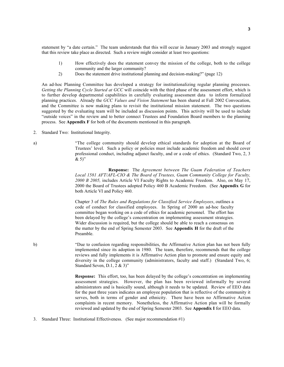statement by "a date certain." The team understands that this will occur in January 2003 and strongly suggest that this review take place as directed. Such a review might consider at least two questions:

- 1) How effectively does the statement convey the mission of the college, both to the college community and the larger community?
- 2) Does the statement drive institutional planning and decision-making?" (page 12)

An ad-hoc Planning Committee has developed a strategy for institutionalizing regular planning processes. *Getting the Planning Cycle Started at GCC* will coincide with the third phase of the assessment effort, which is to further develop departmental capabilities in carefully evaluating assessment data to inform formalized planning practices. Already the *GCC Values and Vision Statement* has been shared at Fall 2002 Convocation, and the Committee is now making plans to revisit the institutional mission statement. The two questions suggested by the evaluating team will be included as discussion points. This activity will be used to include "outside voices" in the review and to better connect Trustees and Foundation Board members to the planning process. See Appendix F for both of the documents mentioned in this paragraph.

2. Standard Two: Institutional Integrity.

a) "The college community should develop ethical standards for adoption at the Board of Trustees' level. Such a policy or policies must include academic freedom and should cover professional conduct, including adjunct faculty, and or a code of ethics. (Standard Two, 2, 3  $& 5$ <sup>"</sup>

> Response: The *Agreement between The Guam Federation of Teachers Local 1581 AFT/AFL-CIO & The Board of Trustees, Guam Community College for Faculty, 2000 B 2005,* includes Article VI Faculty Rights to Academic Freedom. Also, on May 17, 2000 the Board of Trustees adopted Policy 460 B Academic Freedom. (See Appendix G for both Article VI and Policy 460.

Chapter 3 of *The Rules and Regulations for Classified Service Employees*, outlines a code of conduct for classified employees. In Spring of 2000 an ad-hoc faculty committee began working on a code of ethics for academic personnel. The effort has been delayed by the college's concentration on implementing assessment strategies. Wider discussion is required, but the college should be able to reach a consensus on the matter by the end of Spring Semester 2003. See Appendix H for the draft of the Preamble.

b) "Due to confusion regarding responsibilities, the Affirmative Action plan has not been fully implemented since its adoption in 1980. The team, therefore, recommends that the college reviews and fully implements it is Affirmative Action plan to promote and ensure equity and diversity in the college community (administrators, faculty and staff.) (Standard Two, 6; Standard Seven, D.1, 2 & 3)"

> Response: This effort, too, has been delayed by the college's concentration on implementing assessment strategies. However, the plan has been reviewed informally by several administrators and is basically sound, although it needs to be updated. Review of EEO data for the past three years indicates an employee population that is reflective of the community it serves, both in terms of gender and ethnicity. There have been no Affirmative Action complaints in recent memory. Nonetheless, the Affirmative Action plan will be formally reviewed and updated by the end of Spring Semester 2003. See Appendix I for EEO data.

3. Standard Three: Institutional Effectiveness. (See major recommendation #1)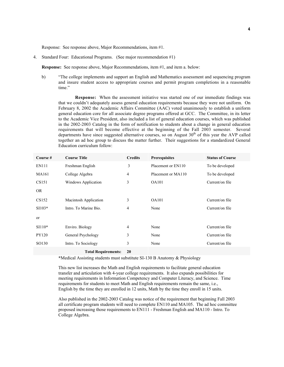Response: See response above, Major Recommendations, item #1.

4. Standard Four: Educational Programs. (See major recommendation #1)

Response: See response above, Major Recommendations, item #1, and item a. below:

b) "The college implements and support an English and Mathematics assessment and sequencing program and insure student access to appropriate courses and permit program completions in a reasonable time."

Response: When the assessment initiative was started one of our immediate findings was that we couldn't adequately assess general education requirements because they were not uniform. On February 8, 2002 the Academic Affairs Committee (AAC) voted unanimously to establish a uniform general education core for all associate degree programs offered at GCC. The Committee, in its letter to the Academic Vice President, also included a list of general education courses, which was published in the 2002-2003 Catalog in the form of notification to students about a change in general education requirements that will become effective at the beginning of the Fall 2003 semester. Several departments have since suggested alternative courses, so on August  $30<sup>th</sup>$  of this year the AVP called together an ad hoc group to discuss the matter further. Their suggestions for a standardized General Education curriculum follow:

| Course#       | <b>Course Title</b>   | <b>Credits</b> | <b>Prerequisites</b> | <b>Status of Course</b> |
|---------------|-----------------------|----------------|----------------------|-------------------------|
| <b>EN111</b>  | Freshman English      | 3              | Placement or EN110   | To be developed         |
| <b>MA161</b>  | College Algebra       | 4              | Placement or MA110   | To be developed         |
| CS151         | Windows Application   | 3              | <b>OA101</b>         | Current/on file         |
| <b>OR</b>     |                       |                |                      |                         |
| CS152         | Macintosh Application | 3              | <b>OA101</b>         | Current/on file         |
| $SI103*$      | Intro. To Marine Bio. | 4              | None                 | Current/on file         |
| <sub>or</sub> |                       |                |                      |                         |
| $SI110*$      | Enviro. Biology       | 4              | None                 | Current/on file         |
| PY120         | General Psychology    | 3              | None                 | Current/on file         |
| SO130         | Intro. To Sociology   | 3              | None                 | Current/on file         |
|               |                       |                |                      |                         |

Total Requirements: 20

\*Medical Assisting students must substitute SI-130 B Anatomy & Physiology

This new list increases the Math and English requirements to facilitate general education transfer and articulation with 4-year college requirements. It also expands possibilities for meeting requirements in Information Competency and Computer Literacy, and Science. Time requirements for students to meet Math and English requirements remain the same, i.e., English by the time they are enrolled in 12 units, Math by the time they enroll in 15 units.

Also published in the 2002-2003 Catalog was notice of the requirement that beginning Fall 2003 all certificate program students will need to complete EN110 and MA105. The ad hoc committee proposed increasing those requirements to EN111 - Freshman English and MA110 - Intro. To College Algebra.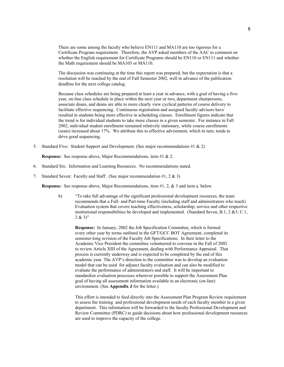There are some among the faculty who believe EN111 and MA110 are too rigorous for a Certificate Program requirement. Therefore, the AVP asked members of the AAC to comment on whether the English requirement for Certificate Programs should be EN110 or EN111 and whether the Math requirement should be MA105 or MA110.

The discussion was continuing at the time this report was prepared, but the expectation is that a resolution will be reached by the end of Fall Semester 2002, well in advance of the publication deadline for the next college catalog.

Because class schedules are being prepared at least a year in advance, with a goal of having a fiveyear, on-line class schedule in place within the next year or two, department chairpersons, associate deans, and deans are able to more clearly view cyclical patterns of course delivery to facilitate effective sequencing. Continuous registration and assigned faculty advisors have resulted in students being more effective in scheduling classes. Enrollment figures indicate that the trend is for individual students to take more classes in a given semester. For instance in Fall 2002, individual student enrollment remained relatively stationary, while course enrollments (seats) increased about 17%. We attribute this to effective advisement, which in turn, tends to drive good sequencing.

5. Standard Five: Student Support and Development. (See major recommendations #1 & 2)

Response: See response above, Major Recommendations, item #1 & 2.

- 6. Standard Six: Information and Learning Resources. No recommendations stated.
- 7. Standard Seven: Faculty and Staff. (See major recommendation #1, 2 & 3)

Response: See response above, Major Recommendations, item #1, 2, & 3 and item a. below.

b) "To take full advantage of the significant professional development resources, the team recommends that a Full- and Part-time Faculty (including staff and administrators who teach) Evaluation system that covers teaching effectiveness, scholarship, service and other respective institutional responsibilities be developed and implemented. (Standard Seven, B.1, 2 &3; C.1,  $2 & 3$ "

Response: In January, 2002 the Job Specification Committee, which is formed every other year by terms outlined in the GFT/GCC BOT Agreement, completed its semester-long revision of the Faculty Job Specifications. In their letter to the Academic Vice President the committee volunteered to convene in the Fall of 2002 to review Article XIII of the Agreement, dealing with Performance Appraisal. That process is currently underway and is expected to be completed by the end of this academic year. The AVP's direction to the committee was to develop an evaluation model that can be used for adjunct faculty evaluation and can also be modified to evaluate the performance of administrators and staff. It will be important to standardize evaluation processes wherever possible to support the Assessment Plan goal of having all assessment information available in an electronic (on-line) environment. (See Appendix J for the letter.)

This effort is intended to feed directly into the Assessment Plan Program Review requirement to assess the training and professional development needs of each faculty member in a given department. This information will be forwarded to the faculty Professional Development and Review Committee (PDRC) to guide decisions about how professional development resources are used to improve the capacity of the college.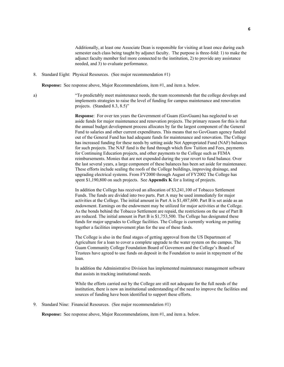Additionally, at least one Associate Dean is responsible for visiting at least once during each semester each class being taught by adjunct faculty. The purpose is three-fold: 1) to make the adjunct faculty member feel more connected to the institution, 2) to provide any assistance needed, and 3) to evaluate performance.

8. Standard Eight: Physical Resources. (See major recommendation #1)

Response: See response above, Major Recommendations, item #1, and item a. below.

a) "To predictably meet maintenance needs, the team recommends that the college develops and implements strategies to raise the level of funding for campus maintenance and renovation projects. (Standard 8.3, 8.5)"

> Response: For over ten years the Government of Guam (GovGuam) has neglected to set aside funds for major maintenance and renovation projects. The primary reason for this is that the annual budget development process allocates by far the largest component of the General Fund to salaries and other current expenditures. This means that no GovGuam agency funded out of the General Fund has had adequate funds for maintenance and renovation. The College has increased funding for these needs by setting aside Not Appropriated Fund (NAF) balances for such projects. The NAF fund is the fund through which flow Tuition and Fees, payments for Continuing Education projects, and other payments to the College such as FEMA reimbursements. Monies that are not expended during the year revert to fund balance. Over the last several years, a large component of these balances has been set aside for maintenance. These efforts include sealing the roofs of the College buildings, improving drainage, and upgrading electrical systems. From FY2000 through August of FY2002 The College has spent \$1,190,800 on such projects. See Appendix K for a listing of projects.

In addition the College has received an allocation of \$3,241,100 of Tobacco Settlement Funds. The funds are divided into two parts. Part A may be used immediately for major activities at the College. The initial amount in Part A is \$1,487,600. Part B is set aside as an endowment. Earnings on the endowment may be utilized for major activities at the College. As the bonds behind the Tobacco Settlement are repaid, the restrictions on the use of Part B are reduced. The initial amount in Part B is \$1,753,500. The College has designated these funds for major upgrades to College facilities. The College is currently working on putting together a facilities improvement plan for the use of these funds.

The College is also in the final stages of getting approval from the US Department of Agriculture for a loan to cover a complete upgrade to the water system on the campus. The Guam Community College Foundation Board of Governors and the College's Board of Trustees have agreed to use funds on deposit in the Foundation to assist in repayment of the loan.

In addition the Administrative Division has implemented maintenance management software that assists in tracking institutional needs.

While the efforts carried out by the College are still not adequate for the full needs of the institution, there is now an institutional understanding of the need to improve the facilities and sources of funding have been identified to support these efforts.

9. Standard Nine: Financial Resources. (See major recommendation #1)

Response: See response above, Major Recommendations, item #1, and item a. below.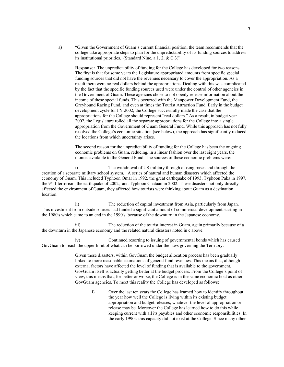a) "Given the Government of Guam's current financial position, the team recommends that the college take appropriate steps to plan for the unpredictability of its funding sources to address its institutional priorities. (Standard Nine, a.1, 2, & C.3)"

Response: The unpredictability of funding for the College has developed for two reasons. The first is that for some years the Legislature appropriated amounts from specific special funding sources that did not have the revenues necessary to cover the appropriation. As a result there were no real dollars behind the appropriations. Dealing with this was complicated by the fact that the specific funding sources used were under the control of other agencies in the Government of Guam. These agencies chose to not openly release information about the income of these special funds. This occurred with the Manpower Development Fund, the Greyhound Racing Fund, and even at times the Tourist Attraction Fund. Early in the budget development cycle for FY 2002, the College successfully made the case that the appropriations for the College should represent "real dollars." As a result, in budget year 2002, the Legislature rolled all the separate appropriations for the College into a single appropriation from the Government of Guam General Fund. While this approach has not fully resolved the College's economic situation (see below), the approach has significantly reduced the locations from which uncertainty arises.

The second reason for the unpredictability of funding for the College has been the ongoing economic problems on Guam, reducing, in a linear fashion over the last eight years, the monies available to the General Fund. The sources of these economic problems were:

i) The withdrawal of US military through closing bases and through the creation of a separate military school system. A series of natural and human disasters which affected the economy of Guam. This included Typhoon Omar in 1992, the great earthquake of 1993, Typhoon Paka in 1997, the 9/11 terrorism, the earthquake of 2002, and Typhoon Chataán in 2002. These disasters not only directly affected the environment of Guam, they affected how tourists were thinking about Guam as a destination location.

ii) The reduction of capital investment from Asia, particularly from Japan. This investment from outside sources had funded a significant amount of commercial development starting in the 1980's which came to an end in the 1990's because of the downturn in the Japanese economy.

iii) The reduction of the tourist interest in Guam, again primarily because of a the downturn in the Japanese economy and the related natural disasters noted in c above.

iv) Continued resorting to issuing of governmental bonds which has caused GovGuam to reach the upper limit of what can be borrowed under the laws governing the Territory.

> Given these disasters, within GovGuam the budget allocation process has been gradually linked to more reasonable estimations of general fund revenues. This means that, although external factors have affected the level of funding that is available to the government, GovGuam itself is actually getting better at the budget process. From the College's point of view, this means that, for better or worse, the College is in the same economic boat as other GovGuam agencies. To meet this reality the College has developed as follows:

i) Over the last ten years the College has learned how to identify throughout the year how well the College is living within its existing budget appropriation and budget releases, whatever the level of appropriation or release may be. Moreover the College has learned how to do this while keeping current with all its payables and other economic responsibilities. In the early 1990's this capacity did not exist at the College. Since many other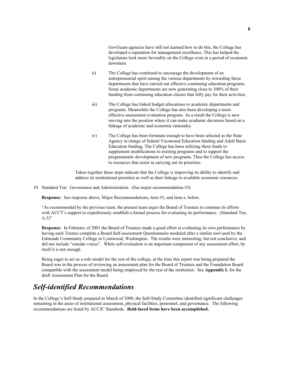GovGuam agencies have still not learned how to do this, the College has developed a reputation for management excellence. This has helped the legislature look more favorably on the College even in a period of economic downturn.

- ii) The College has continued to encourage the development of an entrepreneurial spirit among the various departments by rewarding those departments that have carried out effective continuing education programs. Some academic departments are now generating close to 100% of their funding from continuing education classes that fully pay for their activities.
- iii) The College has linked budget allocations to academic departments and programs. Meanwhile the College has also been developing a more effective assessment evaluation program. As a result the College is now moving into the position where it can make academic decisions based on a linkage of academic and economic rationales.
- iv) The College has been fortunate enough to have been selected as the State Agency in charge of federal Vocational Education funding and Adult Basic Education funding. The College has been utilizing these funds to supplement modifications to existing programs and to support the programmatic development of new programs. Thus the College has access to resources that assist in carrying out its priorities.

Taken together these steps indicate that the College is improving its ability to identify and address its institutional priorities as well as their linkage to available economic resources.

10. Standard Ten: Governance and Administration. (See major recommendation #3)

Response: See response above, Major Recommendations, item #3, and item a. below.

"As recommended by the previous team, the present team urges the Board of Trustees to continue its efforts with ACCT's support to expeditiously establish a formal process for evaluating its performance. (Standard Ten,  $(A.5)$ "

Response: In February of 2001 the Board of Trustees made a good effort at evaluating its own performance by having each Trustee complete a Board Self-assessment Questionnaire modeled after a similar tool used by the Edmonds Community College in Lynnwood, Washington. The results were interesting, but not conclusive, and did not include "outside voices". While self-evaluation is an important component of any assessment effort, by itself it is not enough.

Being eager to act as a role model for the rest of the college, at the time this report was being prepared the Board was in the process of reviewing an assessment plan for the Board of Trustees and the Foundation Board compatible with the assessment model being employed by the rest of the institution. See Appendix L for the draft Assessment Plan for the Board.

## *Self-identified Recommendations*

In the College's Self-Study prepared in March of 2000, the Self-Study Committee identified significant challenges remaining in the areas of institutional assessment, physical facilities, personnel, and governance. The following recommendations are listed by ACCJC Standards. Bold-faced items have been accomplished.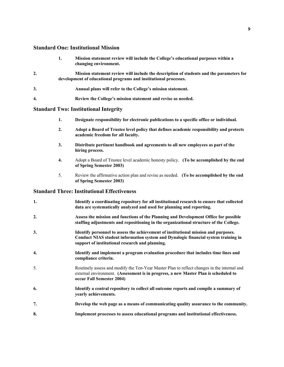#### Standard One: Institutional Mission

|    | 1. | Mission statement review will include the College's educational purposes within a<br>changing environment.                                                   |
|----|----|--------------------------------------------------------------------------------------------------------------------------------------------------------------|
| 2. |    | Mission statement review will include the description of students and the parameters for<br>development of educational programs and institutional processes. |
| 3. |    | Annual plans will refer to the College's mission statement.                                                                                                  |
| 4. |    | Review the College's mission statement and revise as needed.                                                                                                 |

#### Standard Two: Institutional Integrity

- 1. Designate responsibility for electronic publications to a specific office or individual.
- 2. Adopt a Board of Trustee level policy that defines academic responsibility and protects academic freedom for all faculty.
- 3. Distribute pertinent handbook and agreements to all new employees as part of the hiring process.
- 4. Adopt a Board of Trustee level academic honesty policy. (To be accomplished by the end of Spring Semester 2003)
- 5. Review the affirmative action plan and revise as needed. (To be accomplished by the end of Spring Semester 2003)

#### Standard Three: Institutional Effectiveness

| 1. | Identify a coordinating repository for all institutional research to ensure that collected<br>data are systematically analyzed and used for planning and reporting.                                                          |
|----|------------------------------------------------------------------------------------------------------------------------------------------------------------------------------------------------------------------------------|
| 2. | Assess the mission and functions of the Planning and Development Office for possible<br>staffing adjustments and repositioning in the organizational structure of the College.                                               |
| 3. | Identify personnel to assess the achievement of institutional mission and purposes.<br>Conduct NIAS student information system and Dynalogic financial system training in<br>support of institutional research and planning. |
| 4. | Identify and implement a program evaluation procedure that includes time lines and<br>compliance criteria.                                                                                                                   |
| 5. | Routinely assess and modify the Ten-Year Master Plan to reflect changes in the internal and<br>external environment. (Assessment is in progress, a new Master Plan is scheduled to<br>occur Fall Semester 2004)              |
| 6. | Identify a central repository to collect all outcome reports and compile a summary of<br>yearly achievements.                                                                                                                |
| 7. | Develop the web page as a means of communicating quality assurance to the community.                                                                                                                                         |
| 8. | Implement processes to assess educational programs and institutional effectiveness.                                                                                                                                          |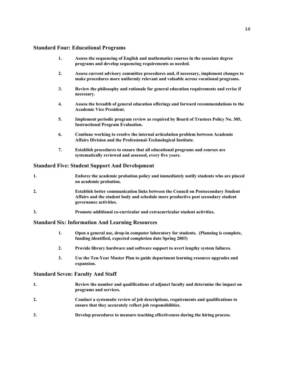#### Standard Four: Educational Programs

- 1. Assess the sequencing of English and mathematics courses in the associate degree programs and develop sequencing requirements as needed.
- 2. Assess current advisory committee procedures and, if necessary, implement changes to make procedures more uniformly relevant and valuable across vocational programs.
- 3. Review the philosophy and rationale for general education requirements and revise if necessary.
- 4. Assess the breadth of general education offerings and forward recommendations to the Academic Vice President.
- 5. Implement periodic program review as required by Board of Trustees Policy No. 305, Instructional Program Evaluation.
- 6. Continue working to resolve the internal articulation problem between Academic Affairs Division and the Professional-Technological Institute.
- 7. Establish procedures to ensure that all educational programs and courses are systematically reviewed and assessed, every five years.

#### Standard Five: Student Support And Development

| <br>Enforce the academic probation policy and immediately notify students who are placed |
|------------------------------------------------------------------------------------------|
| on academic probation.                                                                   |

- 2. Establish better communication links between the Council on Postsecondary Student Affairs and the student body and schedule more productive post secondary student governance activities.
- 3. Promote additional co-curricular and extracurricular student activities.

#### Standard Six: Information And Learning Resources

- 1. Open a general use, drop-in computer laboratory for students. (Planning is complete, funding identified, expected completion date Spring 2003)
- 2. Provide library hardware and software support to avert lengthy system failures.
- 3. Use the Ten-Year Master Plan to guide department learning resource upgrades and expansion.

#### Standard Seven: Faculty And Staff

- 1. Review the number and qualifications of adjunct faculty and determine the impact on programs and services. 2. Conduct a systematic review of job descriptions, requirements and qualifications to ensure that they accurately reflect job responsibilities.
- 3. Develop procedures to measure teaching effectiveness during the hiring process.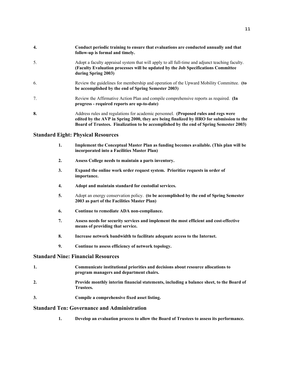| 4. | Conduct periodic training to ensure that evaluations are conducted annually and that<br>follow-up is formal and timely.                                                                                                                                                  |
|----|--------------------------------------------------------------------------------------------------------------------------------------------------------------------------------------------------------------------------------------------------------------------------|
| 5. | Adopt a faculty appraisal system that will apply to all full-time and adjunct teaching faculty.<br>(Faculty Evaluation processes will be updated by the Job Specifications Committee<br>during Spring 2003)                                                              |
| 6. | Review the guidelines for membership and operation of the Upward Mobility Committee. (to<br>be accomplished by the end of Spring Semester 2003)                                                                                                                          |
| 7. | Review the Affirmative Action Plan and compile comprehensive reports as required. (In<br>progress - required reports are up-to-date)                                                                                                                                     |
| 8. | Address rules and regulations for academic personnel. (Proposed rules and regs were<br>edited by the AVP in Spring 2000, they are being finalized by HRO for submission to the<br>Board of Trustees. Finalization to be accomplished by the end of Spring Semester 2003) |

#### Standard Eight: Physical Resources

- 1. Implement the Conceptual Master Plan as funding becomes available. (This plan will be incorporated into a Facilities Master Plan)
- 2. Assess College needs to maintain a parts inventory.
- 3. Expand the online work order request system. Prioritize requests in order of importance.
- 4. Adopt and maintain standard for custodial services.
- 5. Adopt an energy conservation policy. (to be accomplished by the end of Spring Semester 2003 as part of the Facilities Master Plan)
- 6. Continue to remediate ADA non-compliance.
- 7. Assess needs for security services and implement the most efficient and cost-effective means of providing that service.
- 8. Increase network bandwidth to facilitate adequate access to the Internet.
- 9. Continue to assess efficiency of network topology.

#### Standard Nine: Financial Resources

- 1. Communicate institutional priorities and decisions about resource allocations to program managers and department chairs.
- 2. Provide monthly interim financial statements, including a balance sheet, to the Board of Trustees.
- 3. Compile a comprehensive fixed asset listing.

#### Standard Ten: Governance and Administration

1. Develop an evaluation process to allow the Board of Trustees to assess its performance.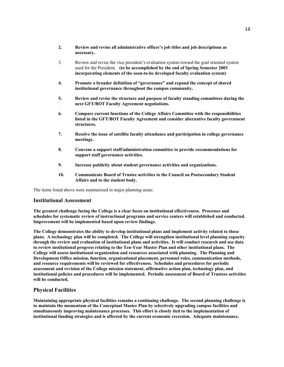- 2. Review and revise all administrative officer's job titles and job descriptions as necessary.
- 3. Review and revise the vice president's evaluation system toward the goal oriented system used for the President. (to be accomplished by the end of Spring Semester 2003 incorporating elements of the soon-to-be developed faculty evaluation system)
- 4. Promote a broader definition of "governance" and expand the concept of shared institutional governance throughout the campus community.
- 5. Review and revise the structure and purpose of faculty standing committees during the next GFT/BOT Faculty Agreement negotiations.
- 6. Compare current functions of the College Affairs Committee with the responsibilities listed in the GFT/BOT Faculty Agreement and consider alternative faculty government structures.
- 7. Resolve the issue of satellite faculty attendance and participation in college governance meetings.
- 8. Convene a support staff/administration committee to provide recommendations for support staff governance activities.
- 9. Increase publicity about student governance activities and organizations.
- 10. Communicate Board of Trustee activities to the Council on Postsecondary Student Affairs and to the student body.

The items listed above were summarized in major planning areas:

#### Institutional Assessment

The greatest challenge facing the College is a clear focus on institutional effectiveness. Processes and schedules for systematic review of instructional programs and service centers will established and conducted. Improvement will be implemented based upon review findings.

The College demonstrates the ability to develop institutional plans and implement activity related to those plans. A technology plan will be completed. The College will strengthen institutional level planning capacity through the review and evaluation of institutional plans and activities. It will conduct research and use data to review institutional progress relating to the Ten-Year Master Plan and other institutional plans. The College will assess institutional organization and resources associated with planning. The Planning and Development Office mission, function, organizational placement, personnel roles, communication methods, and resource requirements will be reviewed for effectiveness. Schedules and procedures for periodic assessment and revision of the College mission statement, affirmative action plan, technology plan, and institutional policies and procedures will be implemented. Periodic assessment of Board of Trustees activities will be conducted.

#### Physical Facilities

Maintaining appropriate physical facilities remains a continuing challenge. The second planning challenge is to maintain the momentum of the Conceptual Master Plan by selectively upgrading campus facilities and simultaneously improving maintenance processes. This effort is closely tied to the implementation of institutional funding strategies and is affected by the current economic recession. Adequate maintenance,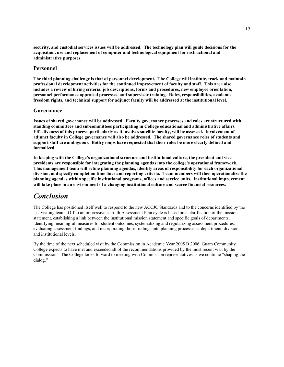security, and custodial services issues will be addressed. The technology plan will guide decisions for the acquisition, use and replacement of computer and technological equipment for instructional and administrative purposes.

#### Personnel

The third planning challenge is that of personnel development. The College will institute, track and maintain professional development activities for the continued improvement of faculty and staff. This area also includes a review of hiring criteria, job descriptions, forms and procedures, new employee orientation, personnel performance appraisal processes, and supervisor training. Roles, responsibilities, academic freedom rights, and technical support for adjunct faculty will be addressed at the institutional level.

#### Governance

Issues of shared governance will be addressed. Faculty governance processes and roles are structured with standing committees and subcommittees participating in College educational and administrative affairs. Effectiveness of this process, particularly as it involves satellite faculty, will be assessed. Involvement of adjunct faculty in College governance will also be addressed. The shared governance roles of students and support staff are ambiguous. Both groups have requested that their roles be more clearly defined and formalized.

In keeping with the College's organizational structure and institutional culture, the president and vice presidents are responsible for integrating the planning agendas into the college's operational framework. This management team will refine planning agendas, identify areas of responsibility for each organizational division, and specify completion time lines and reporting criteria. Team members will then operationalize the planning agendas within specific institutional programs, offices and service units. Institutional improvement will take place in an environment of a changing institutional culture and scarce financial resources.

### *Conclusion*

The College has positioned itself well to respond to the new ACCJC Standards and to the concerns identified by the last visiting team. Off to an impressive start, th Assessment Plan cycle is based on a clarification of the mission statement, establishing a link between the institutional mission statement and specific goals of departments, identifying meaningful measures for student outcomes, systematizing and regularizing assessment procedures, evaluating assessment findings, and incorporating those findings into planning processes at department, division, and institutional levels.

By the time of the next scheduled visit by the Commission in Academic Year 2005 B 2006, Guam Community College expects to have met and exceeded all of the recommendations provided by the most recent visit by the Commission. The College looks forward to meeting with Commission representatives as we continue "shaping the dialog."